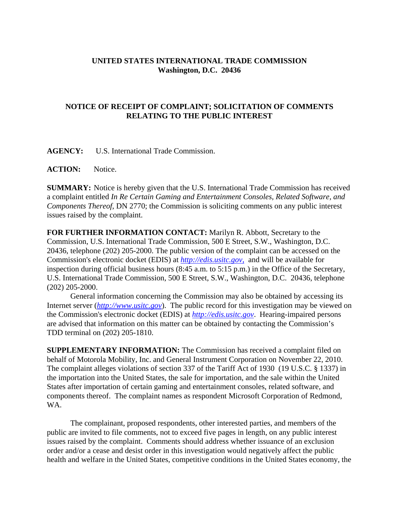## **UNITED STATES INTERNATIONAL TRADE COMMISSION Washington, D.C. 20436**

## **NOTICE OF RECEIPT OF COMPLAINT; SOLICITATION OF COMMENTS RELATING TO THE PUBLIC INTEREST**

**AGENCY:** U.S. International Trade Commission.

**ACTION:** Notice.

**SUMMARY:** Notice is hereby given that the U.S. International Trade Commission has received a complaint entitled *In Re Certain Gaming and Entertainment Consoles, Related Software, and Components Thereof*, DN 2770; the Commission is soliciting comments on any public interest issues raised by the complaint.

**FOR FURTHER INFORMATION CONTACT:** Marilyn R. Abbott, Secretary to the Commission, U.S. International Trade Commission, 500 E Street, S.W., Washington, D.C. 20436, telephone (202) 205-2000. The public version of the complaint can be accessed on the Commission's electronic docket (EDIS) at *http://edis.usitc.gov*, and will be available for inspection during official business hours (8:45 a.m. to 5:15 p.m.) in the Office of the Secretary, U.S. International Trade Commission, 500 E Street, S.W., Washington, D.C. 20436, telephone (202) 205-2000.

General information concerning the Commission may also be obtained by accessing its Internet server (*http://www.usitc.gov*). The public record for this investigation may be viewed on the Commission's electronic docket (EDIS) at *http://edis.usitc.gov*. Hearing-impaired persons are advised that information on this matter can be obtained by contacting the Commission's TDD terminal on (202) 205-1810.

**SUPPLEMENTARY INFORMATION:** The Commission has received a complaint filed on behalf of Motorola Mobility, Inc. and General Instrument Corporation on November 22, 2010. The complaint alleges violations of section 337 of the Tariff Act of 1930 (19 U.S.C. § 1337) in the importation into the United States, the sale for importation, and the sale within the United States after importation of certain gaming and entertainment consoles, related software, and components thereof. The complaint names as respondent Microsoft Corporation of Redmond, WA.

The complainant, proposed respondents, other interested parties, and members of the public are invited to file comments, not to exceed five pages in length, on any public interest issues raised by the complaint. Comments should address whether issuance of an exclusion order and/or a cease and desist order in this investigation would negatively affect the public health and welfare in the United States, competitive conditions in the United States economy, the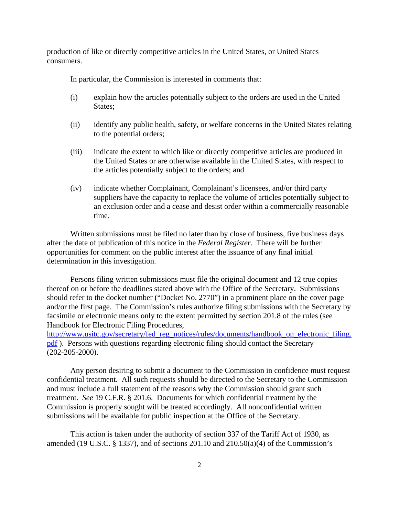production of like or directly competitive articles in the United States, or United States consumers.

In particular, the Commission is interested in comments that:

- (i) explain how the articles potentially subject to the orders are used in the United States;
- (ii) identify any public health, safety, or welfare concerns in the United States relating to the potential orders;
- (iii) indicate the extent to which like or directly competitive articles are produced in the United States or are otherwise available in the United States, with respect to the articles potentially subject to the orders; and
- (iv) indicate whether Complainant, Complainant's licensees, and/or third party suppliers have the capacity to replace the volume of articles potentially subject to an exclusion order and a cease and desist order within a commercially reasonable time.

Written submissions must be filed no later than by close of business, five business days after the date of publication of this notice in the *Federal Register*. There will be further opportunities for comment on the public interest after the issuance of any final initial determination in this investigation.

Persons filing written submissions must file the original document and 12 true copies thereof on or before the deadlines stated above with the Office of the Secretary. Submissions should refer to the docket number ("Docket No. 2770") in a prominent place on the cover page and/or the first page. The Commission's rules authorize filing submissions with the Secretary by facsimile or electronic means only to the extent permitted by section 201.8 of the rules (see Handbook for Electronic Filing Procedures,

http://www.usitc.gov/secretary/fed\_reg\_notices/rules/documents/handbook\_on\_electronic\_filing. pdf ). Persons with questions regarding electronic filing should contact the Secretary (202-205-2000).

Any person desiring to submit a document to the Commission in confidence must request confidential treatment. All such requests should be directed to the Secretary to the Commission and must include a full statement of the reasons why the Commission should grant such treatment. *See* 19 C.F.R. § 201.6. Documents for which confidential treatment by the Commission is properly sought will be treated accordingly. All nonconfidential written submissions will be available for public inspection at the Office of the Secretary.

This action is taken under the authority of section 337 of the Tariff Act of 1930, as amended (19 U.S.C.  $\S$  1337), and of sections 201.10 and 210.50(a)(4) of the Commission's